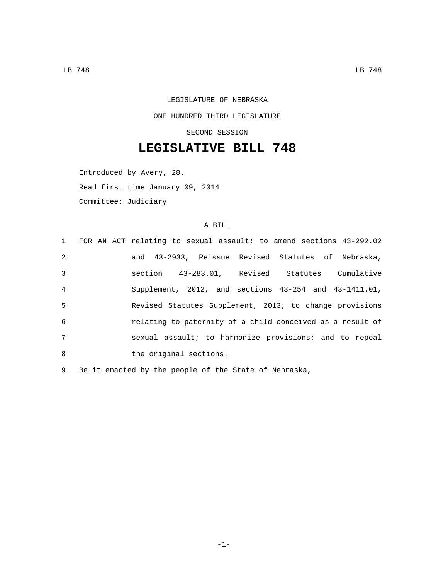LEGISLATURE OF NEBRASKA ONE HUNDRED THIRD LEGISLATURE SECOND SESSION

## **LEGISLATIVE BILL 748**

Introduced by Avery, 28. Read first time January 09, 2014 Committee: Judiciary

## A BILL

|                | 1 FOR AN ACT relating to sexual assault; to amend sections 43-292.02 |
|----------------|----------------------------------------------------------------------|
| 2              | and 43-2933, Reissue Revised Statutes of Nebraska,                   |
| 3              | section 43-283.01, Revised Statutes Cumulative                       |
| $\overline{4}$ | Supplement, 2012, and sections 43-254 and 43-1411.01,                |
| 5              | Revised Statutes Supplement, 2013; to change provisions              |
| 6              | relating to paternity of a child conceived as a result of            |
| 7              | sexual assault; to harmonize provisions; and to repeal               |
| 8              | the original sections.                                               |

9 Be it enacted by the people of the State of Nebraska,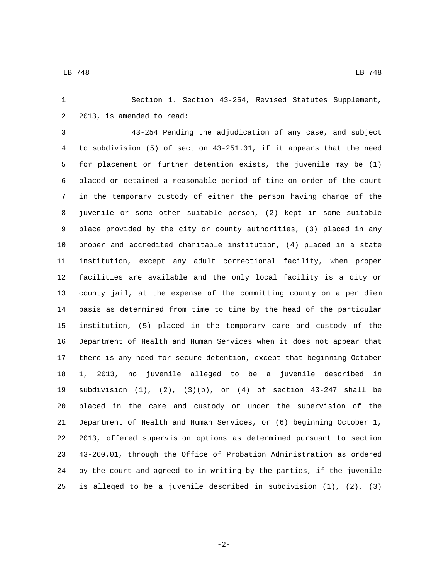Section 1. Section 43-254, Revised Statutes Supplement, 2 2013, is amended to read:

 43-254 Pending the adjudication of any case, and subject to subdivision (5) of section 43-251.01, if it appears that the need for placement or further detention exists, the juvenile may be (1) placed or detained a reasonable period of time on order of the court in the temporary custody of either the person having charge of the juvenile or some other suitable person, (2) kept in some suitable place provided by the city or county authorities, (3) placed in any proper and accredited charitable institution, (4) placed in a state institution, except any adult correctional facility, when proper facilities are available and the only local facility is a city or county jail, at the expense of the committing county on a per diem basis as determined from time to time by the head of the particular institution, (5) placed in the temporary care and custody of the Department of Health and Human Services when it does not appear that there is any need for secure detention, except that beginning October 1, 2013, no juvenile alleged to be a juvenile described in subdivision (1), (2), (3)(b), or (4) of section 43-247 shall be placed in the care and custody or under the supervision of the Department of Health and Human Services, or (6) beginning October 1, 2013, offered supervision options as determined pursuant to section 43-260.01, through the Office of Probation Administration as ordered by the court and agreed to in writing by the parties, if the juvenile is alleged to be a juvenile described in subdivision (1), (2), (3)

-2-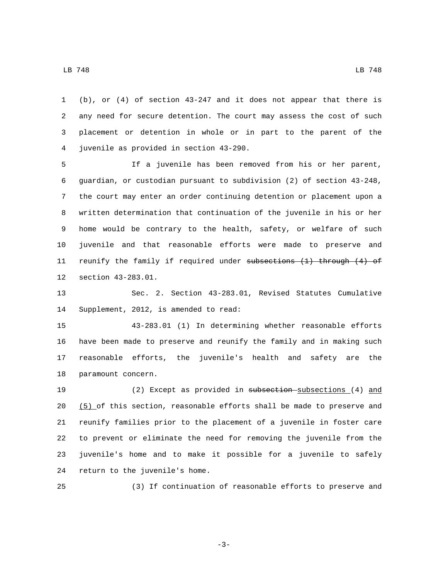(b), or (4) of section 43-247 and it does not appear that there is any need for secure detention. The court may assess the cost of such placement or detention in whole or in part to the parent of the juvenile as provided in section 43-290.4

 If a juvenile has been removed from his or her parent, guardian, or custodian pursuant to subdivision (2) of section 43-248, the court may enter an order continuing detention or placement upon a written determination that continuation of the juvenile in his or her home would be contrary to the health, safety, or welfare of such juvenile and that reasonable efforts were made to preserve and 11 reunify the family if required under subsections (1) through (4) of 12 section 43-283.01.

 Sec. 2. Section 43-283.01, Revised Statutes Cumulative 14 Supplement, 2012, is amended to read:

 43-283.01 (1) In determining whether reasonable efforts have been made to preserve and reunify the family and in making such reasonable efforts, the juvenile's health and safety are the 18 paramount concern.

 (2) Except as provided in subsection subsections (4) and 20 (5) of this section, reasonable efforts shall be made to preserve and reunify families prior to the placement of a juvenile in foster care to prevent or eliminate the need for removing the juvenile from the juvenile's home and to make it possible for a juvenile to safely 24 return to the juvenile's home.

(3) If continuation of reasonable efforts to preserve and

-3-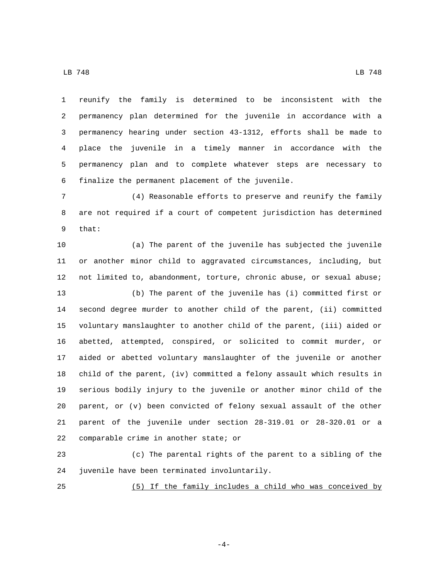reunify the family is determined to be inconsistent with the permanency plan determined for the juvenile in accordance with a permanency hearing under section 43-1312, efforts shall be made to place the juvenile in a timely manner in accordance with the permanency plan and to complete whatever steps are necessary to 6 finalize the permanent placement of the juvenile.

 (4) Reasonable efforts to preserve and reunify the family are not required if a court of competent jurisdiction has determined 9 that:

 (a) The parent of the juvenile has subjected the juvenile or another minor child to aggravated circumstances, including, but not limited to, abandonment, torture, chronic abuse, or sexual abuse; (b) The parent of the juvenile has (i) committed first or second degree murder to another child of the parent, (ii) committed voluntary manslaughter to another child of the parent, (iii) aided or abetted, attempted, conspired, or solicited to commit murder, or aided or abetted voluntary manslaughter of the juvenile or another child of the parent, (iv) committed a felony assault which results in serious bodily injury to the juvenile or another minor child of the parent, or (v) been convicted of felony sexual assault of the other parent of the juvenile under section 28-319.01 or 28-320.01 or a comparable crime in another state; or

 (c) The parental rights of the parent to a sibling of the 24 juvenile have been terminated involuntarily.

(5) If the family includes a child who was conceived by

-4-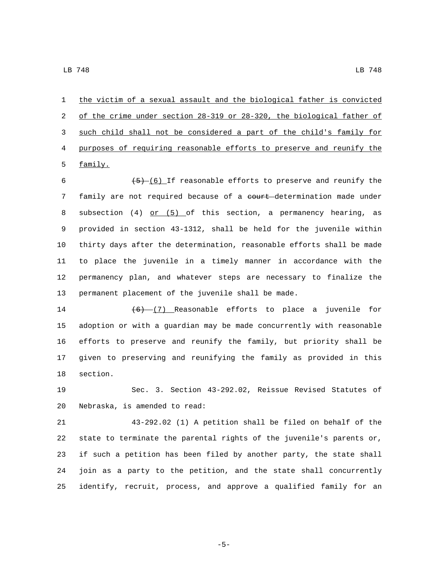the victim of a sexual assault and the biological father is convicted of the crime under section 28-319 or 28-320, the biological father of such child shall not be considered a part of the child's family for purposes of requiring reasonable efforts to preserve and reunify the 5 family.

 $\sqrt{(5)-(6)}$  If reasonable efforts to preserve and reunify the 7 family are not required because of a court determination made under 8 subsection (4) or (5) of this section, a permanency hearing, as provided in section 43-1312, shall be held for the juvenile within thirty days after the determination, reasonable efforts shall be made to place the juvenile in a timely manner in accordance with the permanency plan, and whatever steps are necessary to finalize the permanent placement of the juvenile shall be made.

14 (6) (7) Reasonable efforts to place a juvenile for adoption or with a guardian may be made concurrently with reasonable efforts to preserve and reunify the family, but priority shall be given to preserving and reunifying the family as provided in this 18 section.

 Sec. 3. Section 43-292.02, Reissue Revised Statutes of 20 Nebraska, is amended to read:

 43-292.02 (1) A petition shall be filed on behalf of the state to terminate the parental rights of the juvenile's parents or, if such a petition has been filed by another party, the state shall join as a party to the petition, and the state shall concurrently identify, recruit, process, and approve a qualified family for an

-5-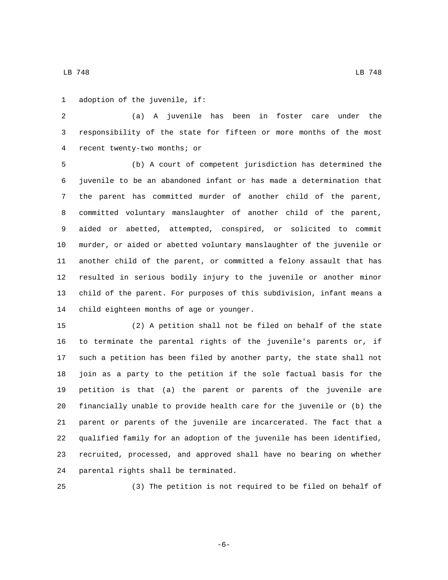1 adoption of the juvenile, if:

 (a) A juvenile has been in foster care under the responsibility of the state for fifteen or more months of the most recent twenty-two months; or4

 (b) A court of competent jurisdiction has determined the juvenile to be an abandoned infant or has made a determination that the parent has committed murder of another child of the parent, committed voluntary manslaughter of another child of the parent, aided or abetted, attempted, conspired, or solicited to commit murder, or aided or abetted voluntary manslaughter of the juvenile or another child of the parent, or committed a felony assault that has resulted in serious bodily injury to the juvenile or another minor child of the parent. For purposes of this subdivision, infant means a 14 child eighteen months of age or younger.

 (2) A petition shall not be filed on behalf of the state to terminate the parental rights of the juvenile's parents or, if such a petition has been filed by another party, the state shall not join as a party to the petition if the sole factual basis for the petition is that (a) the parent or parents of the juvenile are financially unable to provide health care for the juvenile or (b) the parent or parents of the juvenile are incarcerated. The fact that a qualified family for an adoption of the juvenile has been identified, recruited, processed, and approved shall have no bearing on whether 24 parental rights shall be terminated.

(3) The petition is not required to be filed on behalf of

-6-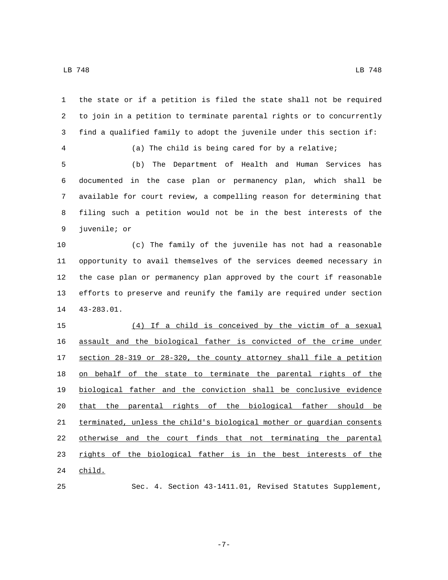the state or if a petition is filed the state shall not be required to join in a petition to terminate parental rights or to concurrently find a qualified family to adopt the juvenile under this section if: (a) The child is being cared for by a relative; (b) The Department of Health and Human Services has documented in the case plan or permanency plan, which shall be available for court review, a compelling reason for determining that filing such a petition would not be in the best interests of the 9 juvenile; or (c) The family of the juvenile has not had a reasonable opportunity to avail themselves of the services deemed necessary in the case plan or permanency plan approved by the court if reasonable efforts to preserve and reunify the family are required under section 14 43-283.01. (4) If a child is conceived by the victim of a sexual assault and the biological father is convicted of the crime under section 28-319 or 28-320, the county attorney shall file a petition on behalf of the state to terminate the parental rights of the biological father and the conviction shall be conclusive evidence that the parental rights of the biological father should be 21 terminated, unless the child's biological mother or guardian consents otherwise and the court finds that not terminating the parental 23 rights of the biological father is in the best interests of the child.

-7-

Sec. 4. Section 43-1411.01, Revised Statutes Supplement,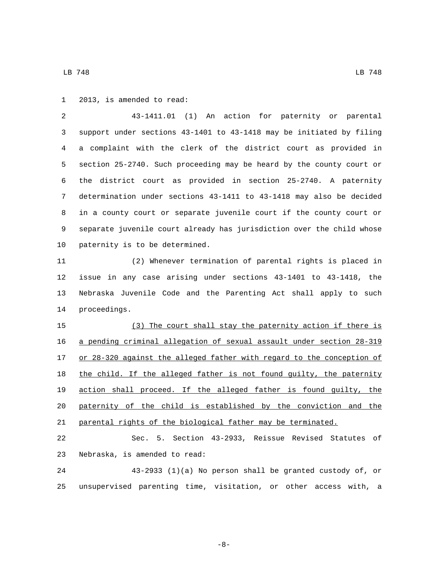1 2013, is amended to read:

 43-1411.01 (1) An action for paternity or parental support under sections 43-1401 to 43-1418 may be initiated by filing a complaint with the clerk of the district court as provided in section 25-2740. Such proceeding may be heard by the county court or the district court as provided in section 25-2740. A paternity determination under sections 43-1411 to 43-1418 may also be decided in a county court or separate juvenile court if the county court or separate juvenile court already has jurisdiction over the child whose 10 paternity is to be determined.

 (2) Whenever termination of parental rights is placed in issue in any case arising under sections 43-1401 to 43-1418, the Nebraska Juvenile Code and the Parenting Act shall apply to such 14 proceedings.

 (3) The court shall stay the paternity action if there is a pending criminal allegation of sexual assault under section 28-319 17 or 28-320 against the alleged father with regard to the conception of 18 the child. If the alleged father is not found guilty, the paternity action shall proceed. If the alleged father is found guilty, the paternity of the child is established by the conviction and the parental rights of the biological father may be terminated.

 Sec. 5. Section 43-2933, Reissue Revised Statutes of 23 Nebraska, is amended to read:

 43-2933 (1)(a) No person shall be granted custody of, or unsupervised parenting time, visitation, or other access with, a

-8-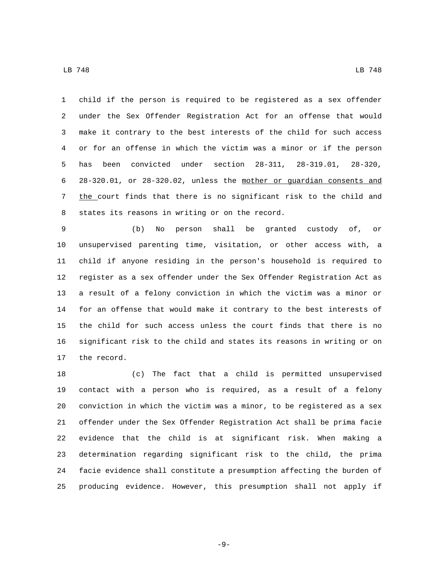child if the person is required to be registered as a sex offender under the Sex Offender Registration Act for an offense that would make it contrary to the best interests of the child for such access or for an offense in which the victim was a minor or if the person has been convicted under section 28-311, 28-319.01, 28-320, 28-320.01, or 28-320.02, unless the mother or guardian consents and 7 the court finds that there is no significant risk to the child and 8 states its reasons in writing or on the record.

 (b) No person shall be granted custody of, or unsupervised parenting time, visitation, or other access with, a child if anyone residing in the person's household is required to register as a sex offender under the Sex Offender Registration Act as a result of a felony conviction in which the victim was a minor or for an offense that would make it contrary to the best interests of the child for such access unless the court finds that there is no significant risk to the child and states its reasons in writing or on 17 the record.

 (c) The fact that a child is permitted unsupervised contact with a person who is required, as a result of a felony conviction in which the victim was a minor, to be registered as a sex offender under the Sex Offender Registration Act shall be prima facie evidence that the child is at significant risk. When making a determination regarding significant risk to the child, the prima facie evidence shall constitute a presumption affecting the burden of producing evidence. However, this presumption shall not apply if

-9-